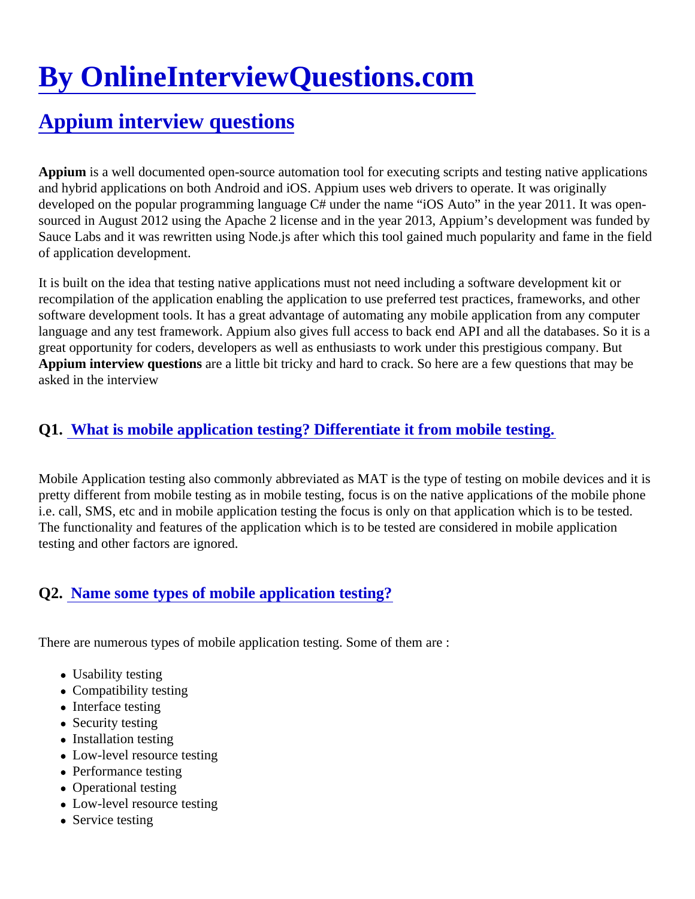# [By OnlineInterviewQuestions.com](https://www.onlineinterviewquestions.com/)

# [Appium interview questions](https://www.onlineinterviewquestions.com/appium-interview-questions/)

Appium is a well documented open-source automation tool for executing scripts and testing native applicatior and hybrid applications on both Android and iOS. Appium uses web drivers to operate. It was originally developed on the popular programming language C# under the name "iOS Auto" in the year 2011. It was ope sourced in August 2012 using the Apache 2 license and in the year 2013, Appium's development was funded Sauce Labs and it was rewritten using Node.js after which this tool gained much popularity and fame in the fie of application development.

It is built on the idea that testing native applications must not need including a software development kit or recompilation of the application enabling the application to use preferred test practices, frameworks, and othe software development tools. It has a great advantage of automating any mobile application from any compute language and any test framework. Appium also gives full access to back end API and all the databases. So it great opportunity for coders, developers as well as enthusiasts to work under this prestigious company. But Appium interview questions are a little bit tricky and hard to crack. So here are a few questions that may be asked in the interview

# Q1. [What is mobile application testing? Differentiate it from mobile testing](https://www.onlineinterviewquestions.com/what-is-mobile-application-testing-differentiate-it-from-mobile-testing/).

Mobile Application testing also commonly abbreviated as MAT is the type of testing on mobile devices and it i pretty different from mobile testing as in mobile testing, focus is on the native applications of the mobile phone i.e. call, SMS, etc and in mobile application testing the focus is only on that application which is to be tested. The functionality and features of the application which is to be tested are considered in mobile application testing and other factors are ignored.

## Q2. [Name some types of mobile application testing](https://www.onlineinterviewquestions.com/name-some-types-of-mobile-application-testing/)?

There are numerous types of mobile application testing. Some of them are :

- Usability testing
- Compatibility testing
- Interface testing
- Security testing
- Installation testing
- Low-level resource testing
- Performance testing
- Operational testing
- Low-level resource testing
- Service testing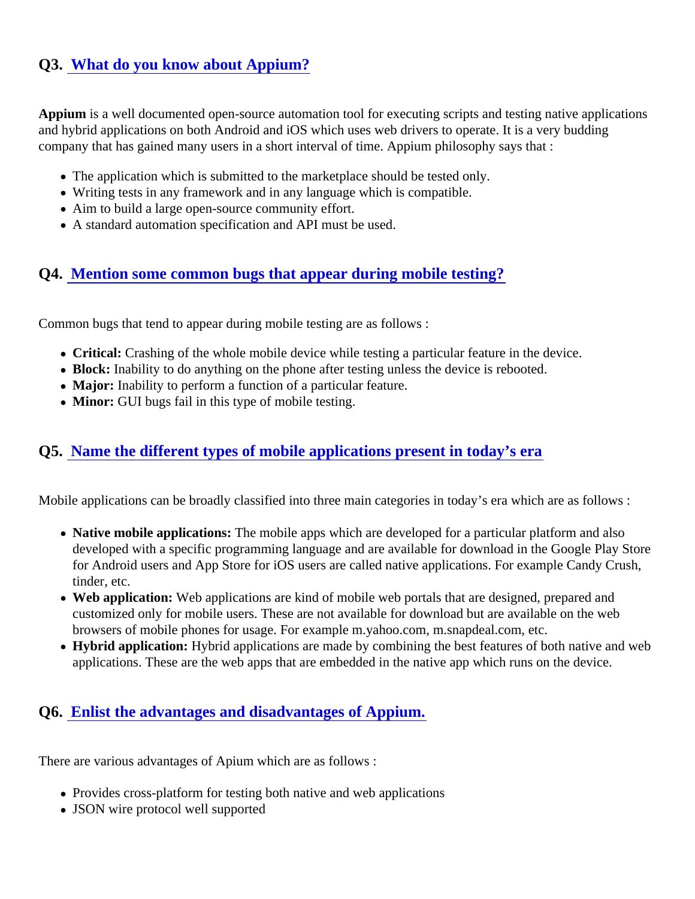# Q3. [What do you know about Appium?](https://www.onlineinterviewquestions.com/what-do-you-know-about-appium/)

Appium is a well documented open-source automation tool for executing scripts and testing native applicatior and hybrid applications on both Android and iOS which uses web drivers to operate. It is a very budding company that has gained many users in a short interval of time. Appium philosophy says that :

- The application which is submitted to the marketplace should be tested only.
- Writing tests in any framework and in any language which is compatible.
- Aim to build a large open-source community effort.
- A standard automation specification and API must be used.

#### Q4. [Mention some common bugs that appear during mobile testing](https://www.onlineinterviewquestions.com/mention-some-common-bugs-that-appear-during-mobile-testing/)?

Common bugs that tend to appear during mobile testing are as follows :

- Critical: Crashing of the whole mobile device while testing a particular feature in the device.
- Block: Inability to do anything on the phone after testing unless the device is rebooted.
- Major: Inability to perform a function of a particular feature.
- Minor: GUI bugs fail in this type of mobile testing.

#### Q5. [Name the different types of mobile applications present in today's e](https://www.onlineinterviewquestions.com/name-the-different-types-of-mobile-applications-present-in-today-s-era/)ra

Mobile applications can be broadly classified into three main categories in today's era which are as follows :

- Native mobile applications: The mobile apps which are developed for a particular platform and also developed with a specific programming language and are available for download in the Google Play Sto for Android users and App Store for iOS users are called native applications. For example Candy Crush tinder, etc.
- Web application: Web applications are kind of mobile web portals that are designed, prepared and customized only for mobile users. These are not available for download but are available on the web browsers of mobile phones for usage. For example m.yahoo.com, m.snapdeal.com, etc.
- Hybrid application: Hybrid applications are made by combining the best features of both native and web applications. These are the web apps that are embedded in the native app which runs on the device.

#### Q6. [Enlist the advantages and disadvantages of Appium](https://www.onlineinterviewquestions.com/enlist-the-advantages-and-disadvantages-of-appium/).

There are various advantages of Apium which are as follows :

- Provides cross-platform for testing both native and web applications
- JSON wire protocol well supported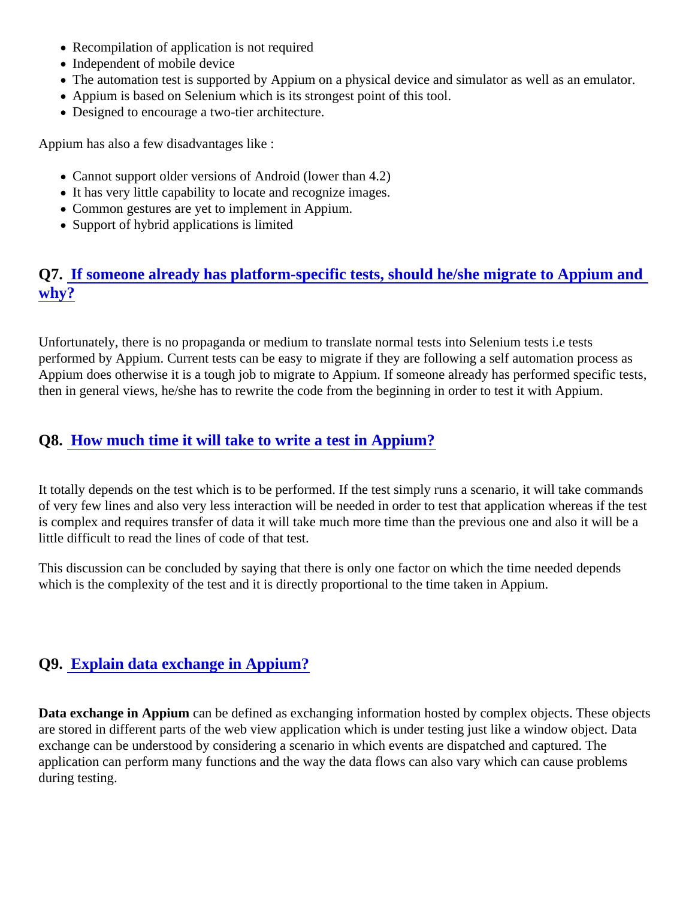- Recompilation of application is not required
- Independent of mobile device
- The automation test is supported by Appium on a physical device and simulator as well as an emulator.
- Appium is based on Selenium which is its strongest point of this tool.
- Designed to encourage a two-tier architecture.

Appium has also a few disadvantages like :

- Cannot support older versions of Android (lower than 4.2)
- It has very little capability to locate and recognize images.
- Common gestures are yet to implement in Appium.
- Support of hybrid applications is limited

# Q7. [If someone already has platform-specific tests, should he/she migrate to Appium a](https://www.onlineinterviewquestions.com/if-someone-already-has-platform-specific-tests-should-he-she-migrate-to-appium-and-why/)nd [why?](https://www.onlineinterviewquestions.com/if-someone-already-has-platform-specific-tests-should-he-she-migrate-to-appium-and-why/)

Unfortunately, there is no propaganda or medium to translate normal tests into Selenium tests i.e tests performed by Appium. Current tests can be easy to migrate if they are following a self automation process as Appium does otherwise it is a tough job to migrate to Appium. If someone already has performed specific test then in general views, he/she has to rewrite the code from the beginning in order to test it with Appium.

#### Q8. [How much time it will take to write a test in Appium?](https://www.onlineinterviewquestions.com/how-much-time-it-will-take-to-write-a-test-in-appium/)

It totally depends on the test which is to be performed. If the test simply runs a scenario, it will take command of very few lines and also very less interaction will be needed in order to test that application whereas if the te is complex and requires transfer of data it will take much more time than the previous one and also it will be a little difficult to read the lines of code of that test.

This discussion can be concluded by saying that there is only one factor on which the time needed depends which is the complexity of the test and it is directly proportional to the time taken in Appium.

#### Q9. [Explain data exchange in Appium?](https://www.onlineinterviewquestions.com/explain-data-exchange-in-appium/)

Data exchange in Appium can be defined as exchanging information hosted by complex objects. These object are stored in different parts of the web view application which is under testing just like a window object. Data exchange can be understood by considering a scenario in which events are dispatched and captured. The application can perform many functions and the way the data flows can also vary which can cause problems during testing.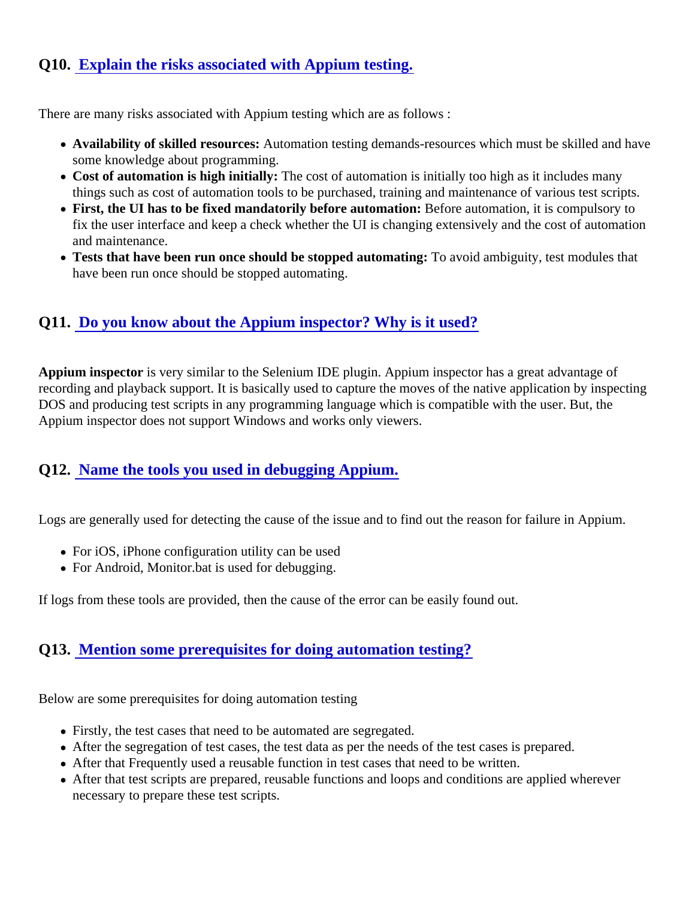# Q10. [Explain the risks associated with Appium testing](https://www.onlineinterviewquestions.com/explain-the-risks-associated-with-appium-testing/).

There are many risks associated with Appium testing which are as follows :

- Availability of skilled resources: Automation testing demands-resources which must be skilled and have some knowledge about programming.
- Cost of automation is high initially: The cost of automation is initially too high as it includes many things such as cost of automation tools to be purchased, training and maintenance of various test script
- First, the UI has to be fixed mandatorily before automation: Before automation, it is compulsory to fix the user interface and keep a check whether the UI is changing extensively and the cost of automation and maintenance.
- Tests that have been run once should be stopped automatino avoid ambiguity, test modules that have been run once should be stopped automating.

# Q11. [Do you know about the Appium inspector? Why is it used](https://www.onlineinterviewquestions.com/do-you-know-about-the-appium-inspector-why-is-it-used/)?

Appium inspector is very similar to the Selenium IDE plugin. Appium inspector has a great advantage of recording and playback support. It is basically used to capture the moves of the native application by inspecti DOS and producing test scripts in any programming language which is compatible with the user. But, the Appium inspector does not support Windows and works only viewers.

## Q12. [Name the tools you used in debugging Appium](https://www.onlineinterviewquestions.com/name-the-tools-you-used-in-debugging-appium/).

Logs are generally used for detecting the cause of the issue and to find out the reason for failure in Appium.

- For iOS, iPhone configuration utility can be used
- For Android, Monitor.bat is used for debugging.

If logs from these tools are provided, then the cause of the error can be easily found out.

## Q13. [Mention some prerequisites for doing automation testing](https://www.onlineinterviewquestions.com/mention-some-prerequisites-for-doing-automation-testing/)?

Below are some prerequisites for doing automation testing

- Firstly, the test cases that need to be automated are segregated.
- After the segregation of test cases, the test data as per the needs of the test cases is prepared.
- After that Frequently used a reusable function in test cases that need to be written.
- After that test scripts are prepared, reusable functions and loops and conditions are applied wherever necessary to prepare these test scripts.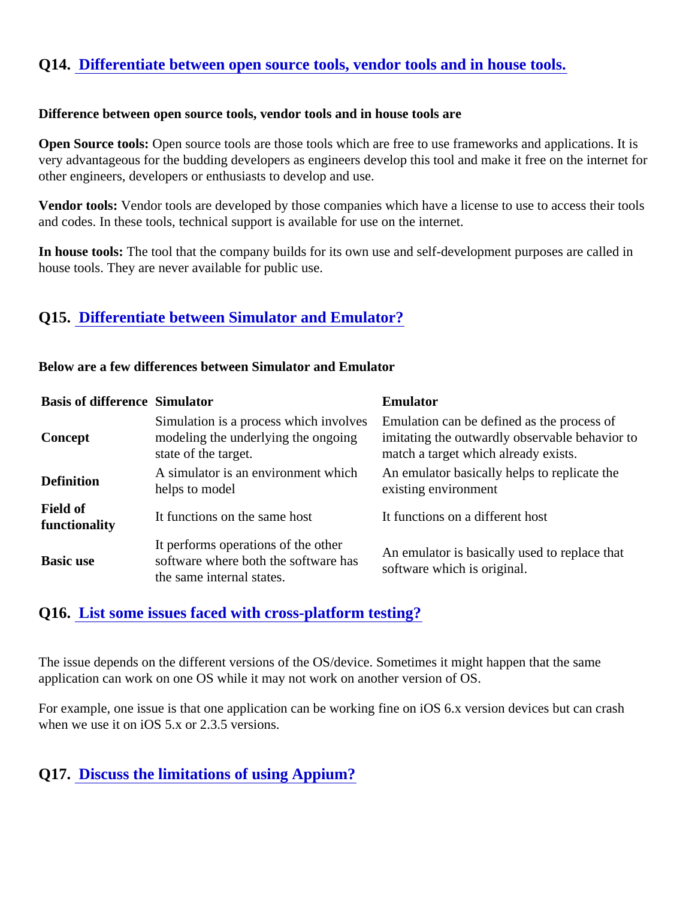#### Q14. [Differentiate between open source tools, vendor tools and in house to](https://www.onlineinterviewquestions.com/differentiate-between-open-source-tools-vendor-tools-and-in-house-tools/)ols.

Difference between open source tools, vendor tools and in house tools are

Open Source tools: Open source tools are those tools which are free to use frameworks and applications. It is very advantageous for the budding developers as engineers develop this tool and make it free on the internet other engineers, developers or enthusiasts to develop and use.

Vendor tools: Vendor tools are developed by those companies which have a license to use to access their too and codes. In these tools, technical support is available for use on the internet.

In house tools: The tool that the company builds for its own use and self-development purposes are called in house tools. They are never available for public use.

#### Q15. [Differentiate between Simulator and Emulator?](https://www.onlineinterviewquestions.com/differentiate-between-simulator-and-emulator/)

Below are a few differences between Simulator and Emulator

| <b>Basis of difference Simulator</b> |                                                                  | Emulator                                                                                                                                                                                                               |
|--------------------------------------|------------------------------------------------------------------|------------------------------------------------------------------------------------------------------------------------------------------------------------------------------------------------------------------------|
| Concept                              | state of the target.                                             | Simulation is a process which involve <b>£</b> mulation can be defined as the process of<br>modeling the underlying the ongoing imitating the outwardly observable behavior to<br>match a target which already exists. |
| <b>Definition</b>                    | helps to model                                                   | A simulator is an environment which An emulator basically helps to replicate the<br>existing environment                                                                                                               |
| Field of<br>functionality            | It functions on the same host                                    | It functions on a different host                                                                                                                                                                                       |
| Basic use                            | It performs operations of the other<br>the same internal states. | It performs operations of the other<br>software has An emulator is basically used to replace that<br>software which is original.                                                                                       |

#### Q16. [List some issues faced with cross-platform testing](https://www.onlineinterviewquestions.com/list-some-issues-faced-with-cross-platform-testing/)?

The issue depends on the different versions of the OS/device. Sometimes it might happen that the same application can work on one OS while it may not work on another version of OS.

For example, one issue is that one application can be working fine on iOS 6.x version devices but can crash when we use it on iOS 5.x or 2.3.5 versions.

#### Q17. [Discuss the limitations of using Appium?](https://www.onlineinterviewquestions.com/discuss-the-limitations-of-using-appium/)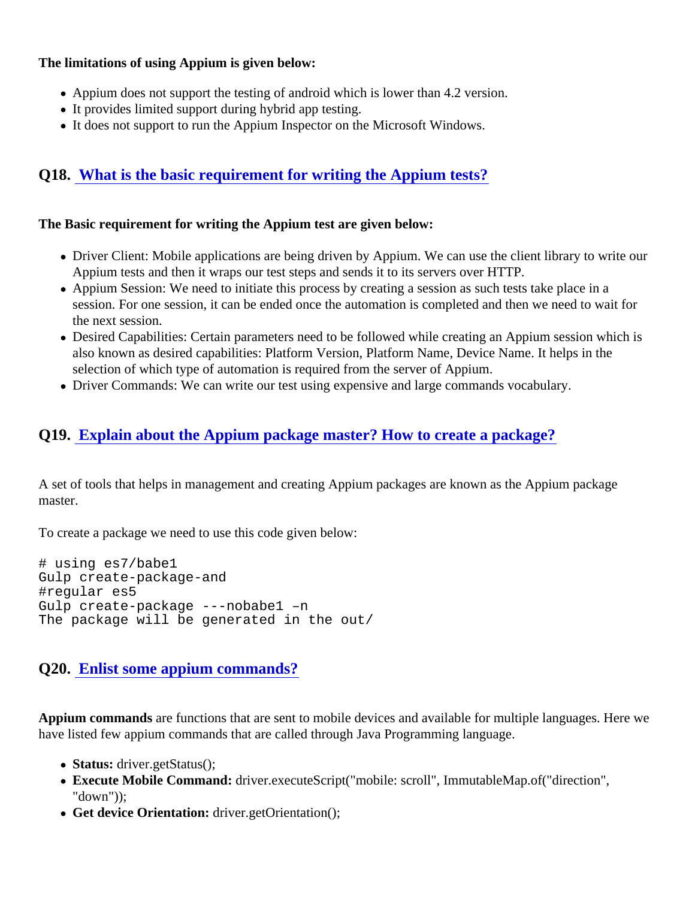The limitations of using Appium is given below:

- Appium does not support the testing of android which is lower than 4.2 version.
- It provides limited support during hybrid app testing.
- It does not support to run the Appium Inspector on the Microsoft Windows.

# Q18. [What is the basic requirement for writing the Appium tests?](https://www.onlineinterviewquestions.com/what-is-the-basic-requirement-for-writing-the-appium-tests/)

The Basic requirement for writing the Appium test are given below:

- Driver Client: Mobile applications are being driven by Appium. We can use the client library to write our Appium tests and then it wraps our test steps and sends it to its servers over HTTP.
- Appium Session: We need to initiate this process by creating a session as such tests take place in a session. For one session, it can be ended once the automation is completed and then we need to wait f the next session.
- Desired Capabilities: Certain parameters need to be followed while creating an Appium session which is also known as desired capabilities: Platform Version, Platform Name, Device Name. It helps in the selection of which type of automation is required from the server of Appium.
- Driver Commands: We can write our test using expensive and large commands vocabulary.

# Q19. [Explain about the Appium package master? How to create a packag](https://www.onlineinterviewquestions.com/explain-about-the-appium-package-master-how-to-create-a-package/)e?

A set of tools that helps in management and creating Appium packages are known as the Appium package master.

To create a package we need to use this code given below:

# using es7/babe1 Gulp create-package-and #regular es5 Gulp create-package ---nobabe1 –n The package will be generated in the out/

#### Q20. [Enlist some appium commands](https://www.onlineinterviewquestions.com/enlist-some-appium-commands/)?

Appium commands are functions that are sent to mobile devices and available for multiple languages. Here w have listed few appium commands that are called through Java Programming language.

- Status: driver.getStatus();
- Execute Mobile Command: driver.executeScript("mobile: scroll", ImmutableMap.of("direction", "down"));
- Get device Orientation: driver.getOrientation();